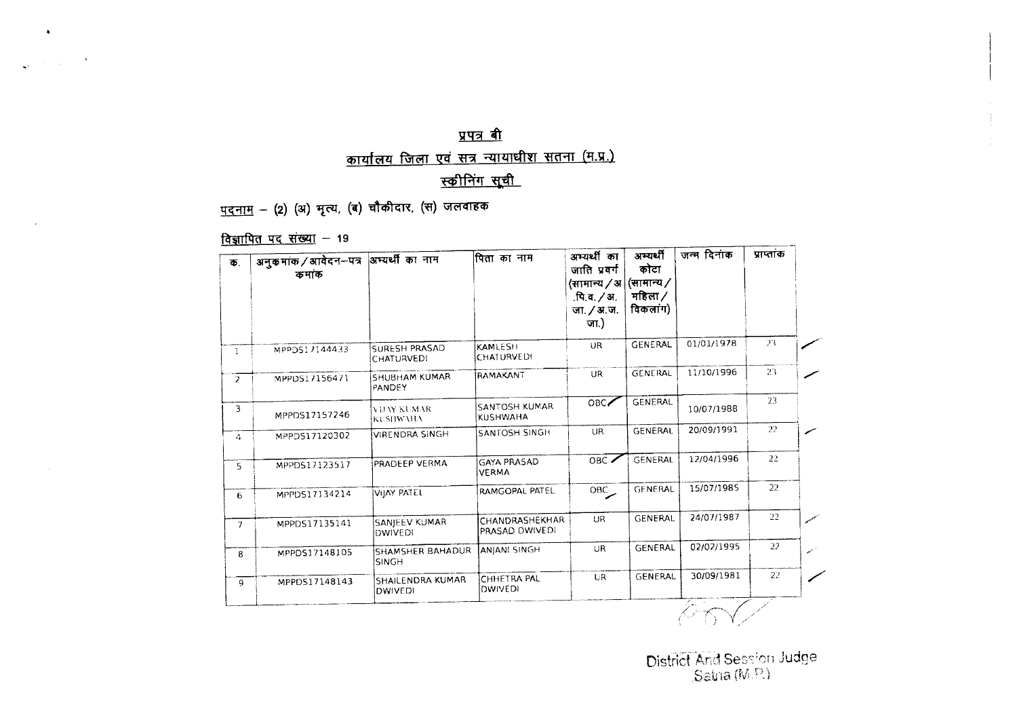#### <u>प्रपत्र बी</u>

### कार्यालय जिला एवं सत्र न्यायाधीश सतना (म.प्र.)

#### <u>स्कीनिंग सूची</u>

<u>पदनाम</u> – (2) (अ) भृत्य, (ब) चौकीदार, (स) जलवाहक

<u>विज्ञापित पद संख्या</u> – 19

 $\Delta$ 

 $\label{eq:1} \frac{1}{\sqrt{2}}\int_{\mathbb{R}^{2}}\left|\frac{1}{\sqrt{2}}\left(\frac{1}{\sqrt{2}}\right)^{2}e^{-\frac{1}{2}\left(\frac{1}{\sqrt{2}}\right)}\right|^{2}dx\leq \frac{1}{2}\int_{\mathbb{R}^{2}}\left|\frac{1}{\sqrt{2}}\left(\frac{1}{\sqrt{2}}\right)^{2}e^{-\frac{1}{2}\left(\frac{1}{\sqrt{2}}\right)}\right|^{2}dx$ 

 $\sim$   $\mu$  .

| ক.             | अनुकमांक/आवेदन–पत्र  अभ्यर्थी का नाम<br>कमांक |                                    | पिता का नाम                             | अम्यर्थी का<br>जाति प्रवर्ग<br>(सामान्य / अ $\vert$ (सामान्य /<br>.पि.व. / अ.<br>जा. / अ.ज.<br>जा.) | अम्यर्थी<br>कोटा<br>महिला /<br>विकलांग) | जन्म दिनांक | प्राप्तांक |      |
|----------------|-----------------------------------------------|------------------------------------|-----------------------------------------|-----------------------------------------------------------------------------------------------------|-----------------------------------------|-------------|------------|------|
| Ŧ.             | MPPDS17144433                                 | SURESH PRASAD<br>CHATURVEDI        | <b>KAMLESH</b><br><b>CHATURVED!</b>     | UR                                                                                                  | <b>GENERAL</b>                          | 01/01/1978  | 23.        |      |
| $\mathcal{L}$  | MPPDS17156471                                 | SHUBHAM KUMAR<br>PANDEY            | RAMAKANT                                | <b>UR</b>                                                                                           | <b>GENERAL</b>                          | 11/10/1996  | 23         |      |
| $\overline{3}$ | MPPDS17157246                                 | <b>VIJAY KUMAR</b><br>KUSHWAHA     | SANTOSH KUMAR<br><b>KUSHWAHA</b>        | OBC                                                                                                 | <b>GENERAL</b>                          | 10/07/1988  | 23         |      |
| $\Delta$       | MPPDS17120302                                 | <b>VIRENDRA SINGH</b>              | SANTOSH SINGH                           | <b>UR</b>                                                                                           | <b>GENERAL</b>                          | 20/09/1991  | 22         |      |
| 5              | MPPDS17123517                                 | PRADEEP VERMA                      | <b>GAYA PRASAD</b><br>VERMA             | OBC                                                                                                 | <b>GENERAL</b>                          | 12/04/1996  | 22         |      |
| 6              | MPPD517134214                                 | VIJAY PATEL                        | RAMGOPAL PATEL                          | OBC                                                                                                 | <b>GENERAL</b>                          | 15/07/1985  | 22         |      |
| $\overline{7}$ | MPPDS17135141                                 | SANJEEV KUMAR<br><b>DWIVEDI</b>    | <b>CHANDRASHEKHAR</b><br>PRASAD DWIVED! | UR                                                                                                  | <b>GENERAL</b>                          | 24/07/1987  | 22         |      |
| 8              | MPPD517148105                                 | SHAMSHER BAHADUR<br><b>SINGH</b>   | <b>ANJANI SINGH</b>                     | <b>UR</b>                                                                                           | <b>GENERAL</b>                          | 02/02/1995  | 22         | سمعا |
| 9              | MPPD517148143                                 | SHAILENDRA KUMAR<br><b>DWIVEDI</b> | CHHETRA PAL<br><b>DWIVEDI</b>           | UR                                                                                                  | <b>GENERAL</b>                          | 30/09/1981  | 22         |      |

District And Session Judge<br>Satha (M.P.)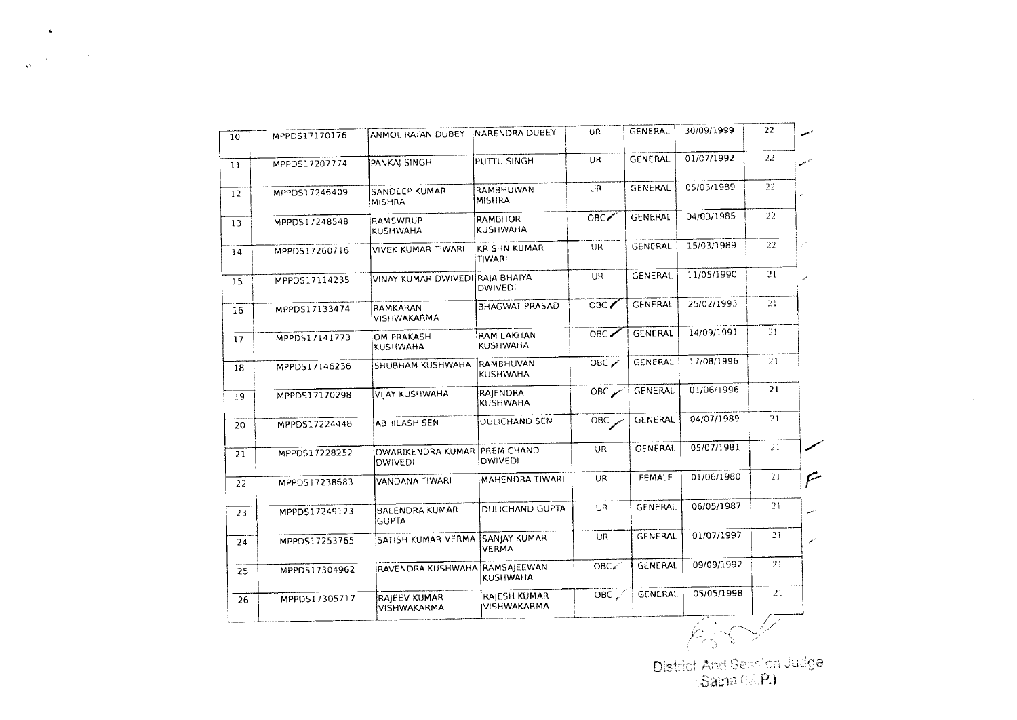| 10 | MPPDS17170176 | ANMOL RATAN DUBEY                                     | NARENDRA DUBEY                       | UR               | <b>GENERAL</b> | 30/09/1999 | 22  |               |
|----|---------------|-------------------------------------------------------|--------------------------------------|------------------|----------------|------------|-----|---------------|
| 11 | MPPDS17207774 | PANKAJ SINGH                                          | PUTTU SINGH                          | UR               | <b>GENERAL</b> | 01/07/1992 | 22  |               |
| 12 | MPPDS17246409 | SANDEEP KUMAR<br><b>MISHRA</b>                        | RAMBHUWAN<br><b>MISHRA</b>           | UR               | <b>GENERAL</b> | 05/03/1989 | 22. |               |
| 13 | MPPD517248548 | <b>RAMSWRUP</b><br>KUSHWAHA                           | RAMBHOR<br><b>KUSHWAHA</b>           | OBC              | <b>GENERAL</b> | 04/03/1985 | 22. |               |
| 14 | MPPD517260716 | <b>VIVEK KUMAR TIWARI</b>                             | <b>KRISHN KUMAR</b><br>TIWARI        | UR               | <b>GENERAL</b> | 15/03/1989 | 22  |               |
| 15 | MPPDS17114235 | VINAY KUMAR DWIVEDI RAJA BHAIYA                       | <b>DWIVEDI</b>                       | <b>UR</b>        | <b>GENERAL</b> | 11/05/1990 | 21  |               |
| 16 | MPPDS17133474 | RAMKARAN<br><b>VISHWAKARMA</b>                        | <b>BHAGWAT PRASAD</b>                | OBC              | <b>GENERAL</b> | 25/02/1993 | 21  |               |
| 17 | MPPDS17141773 | OM PRAKASH<br><b>KUSHWAHA</b>                         | <b>RAM LAKHAN</b><br><b>KUSHWAHA</b> | $OBC \n2$        | <b>GENERAL</b> | 14/09/1991 | 21  |               |
| 18 | MPPD517146236 | SHUBHAM KUSHWAHA                                      | RAMBHUVAN<br><b>KUSHWAHA</b>         | OBC $\sim$       | <b>GENERAL</b> | 17/08/1996 | 21  |               |
| 19 | MPPDS17170298 | <b>VIIAY KUSHWAHA</b>                                 | <b>RAIENDRA</b><br><b>KUSHWAHA</b>   | OBC /            | <b>GENERAL</b> | 01/06/1996 | 21  |               |
| 20 | MPPDS17224448 | <b>ABHILASH SEN</b>                                   | <b>DULICHAND SEN</b>                 | OBC              | <b>GENERAL</b> | 04/07/1989 | 21  |               |
| 21 | MPPDS17228252 | <b>DWARIKENDRA KUMAR PREM CHAND</b><br><b>DWIVEDI</b> | <b>DWIVEDI</b>                       | UR.              | <b>GENERAL</b> | 05/07/1981 | 21  |               |
| 22 | MPPD517238683 | VANDANA TIWARI                                        | MAHENDRA TIWARI                      | UR               | <b>FEMALE</b>  | 01/06/1980 | 21  | $\mathcal{F}$ |
| 23 | MPPDS17249123 | <b>BALENDRA KUMAR</b><br><b>GUPTA</b>                 | <b>DULICHAND GUPTA</b>               | UR.              | <b>GENERAL</b> | 06/05/1987 | 21  |               |
| 24 | MPPD517253765 | SATISH KUMAR VERMA SANJAY KUMAR                       | VERMA                                | UR.              | <b>GENERAL</b> | 01/07/1997 | 21  | المستو        |
| 25 | MPPD517304962 | RAVENDRA KUSHWAHA RAMSAJEEWAN                         | KUSHWAHA                             | OBC              | <b>GENERAL</b> | 09/09/1992 | 21  |               |
| 26 | MPPDS17305717 | RAIEEV KUMAR<br>VISHWAKARMA                           | RAJESH KUMAR<br><b>VISHWAKARMA</b>   | $\overline{OBC}$ | <b>GENERAL</b> | 05/05/1998 | 21  |               |
|    |               |                                                       |                                      |                  |                |            |     |               |

 $\hat{\mathbf{v}}$ 

 $\label{eq:2.1} \frac{1}{\Phi_{\rm{eff}}}\left(\frac{1}{\sigma_{\rm{eff}}}\right) = \frac{1}{\sigma_{\rm{eff}}}\left(\frac{1}{\sigma_{\rm{eff}}}\right)$ 

District And Seasion Judge

 $\label{eq:2.1} \frac{1}{\sqrt{2}}\left(\frac{1}{\sqrt{2}}\right)^{\frac{1}{2}}\left(\frac{1}{\sqrt{2}}\right)^{\frac{1}{2}}\left(\frac{1}{\sqrt{2}}\right)^{\frac{1}{2}}\left(\frac{1}{\sqrt{2}}\right)^{\frac{1}{2}}\left(\frac{1}{\sqrt{2}}\right)^{\frac{1}{2}}\left(\frac{1}{\sqrt{2}}\right)^{\frac{1}{2}}\left(\frac{1}{\sqrt{2}}\right)^{\frac{1}{2}}\left(\frac{1}{\sqrt{2}}\right)^{\frac{1}{2}}\left(\frac{1}{\sqrt{2}}\right)^{\frac{1}{2}}\left(\$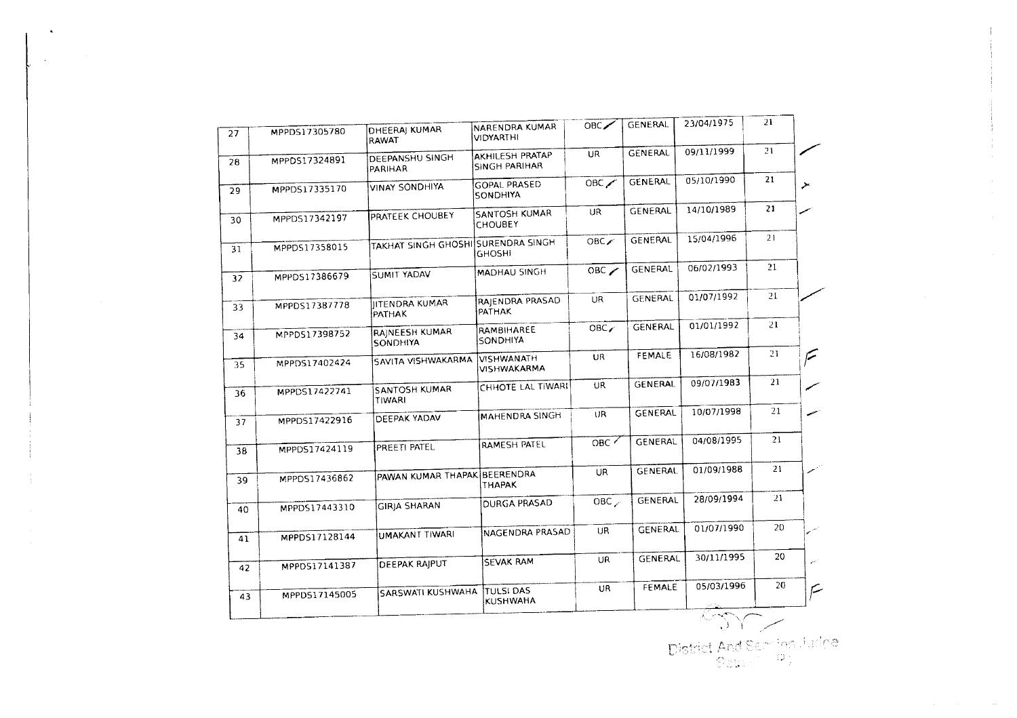| 27 | MPPDS17305780 | DHEERAJ KUMAR                         | <b>NARENDRA KUMAR</b>                   | $OBC \times$ | <b>GENERAL</b> | 23/04/1975 | 21 |        |
|----|---------------|---------------------------------------|-----------------------------------------|--------------|----------------|------------|----|--------|
|    |               | <b>RAWAT</b>                          | <b>VIDYARTHI</b>                        |              | <b>GENERAL</b> | 09/11/1999 | 21 |        |
| 28 | MPPD517324891 | DEEPANSHU SINGH<br>PARIHAR            | <b>AKHILESH PRATAP</b><br>SINGH PARIHAR | <b>UR</b>    |                |            |    |        |
| 29 | MPPDS17335170 | <b>VINAY SONDHIYA</b>                 | <b>GOPAL PRASED</b><br><b>SONDHIYA</b>  | OBC          | <b>GENERAL</b> | 05/10/1990 | 21 | ≻      |
| 30 | MPPDS17342197 | <b>PRATEEK CHOUBEY</b>                | SANTOSH KUMAR<br><b>CHOUBEY</b>         | UR.          | <b>GENERAL</b> | 14/10/1989 | 21 |        |
| 31 | MPPDS17358015 | TAKHAT SINGH GHOSHI SURENDRA SINGH    | <b>GHOSHI</b>                           | OBC          | <b>GENERAL</b> | 15/04/1996 | 21 |        |
| 32 | MPPDS17386679 | SUMIT YADAV                           | <b>MADHAU SINGH</b>                     | $OBC \times$ | GENERAL        | 06/02/1993 | 21 |        |
| 33 | MPPDS17387778 | <b>ITENDRA KUMAR</b><br><b>PATHAK</b> | RAJENDRA PRASAD<br><b>PATHAK</b>        | UR.          | <b>GENERAL</b> | 01/07/1992 | 21 |        |
| 34 | MPPD517398752 | RAINEESH KUMAR<br>SONDHIYA            | RAMBIHAREE<br>SONDHIYA                  | $OBC \times$ | GENERAL        | 01/01/1992 | 21 |        |
| 35 | MPPDS17402424 | SAVITA VISHWAKARMA                    | VISHWANATH<br><b>VISHWAKARMA</b>        | UR           | FEMALE         | 16/08/1982 | 21 | سير    |
| 36 | MPPD517422741 | SANTOSH KUMAR<br>TIWARI               | CHHOTE LAL TIWARI                       | UR.          | <b>GENERAL</b> | 09/07/1983 | 21 |        |
| 37 | MPPDS17422916 | DEEPAK YADAV                          | MAHENDRA SINGH                          | UR           | GENERAL        | 10/07/1998 | 21 |        |
| 38 | MPPDS17424119 | PREETI PATEL                          | RAMESH PATEL                            | OBC          | GENERAL        | 04/08/1995 | 21 |        |
| 39 | MPPD517436862 | PAWAN KUMAR THAPAK BEERENDRA          | <b>THAPAK</b>                           | UR.          | <b>GENERAL</b> | 01/09/1988 | 21 |        |
| 40 | MPPDS17443310 | <b>GIRIA SHARAN</b>                   | <b>DURGA PRASAD</b>                     | OBC >        | <b>GENERAL</b> | 28/09/1994 | 21 |        |
| 41 | MPPDS17128144 | UMAKANT TIWARI                        | NAGENDRA PRASAD                         | UR           | <b>GENERAL</b> | 01/07/1990 | 20 |        |
| 42 | MPPD517141387 | <b>DEEPAK RAJPUT</b>                  | <b>SEVAK RAM</b>                        | UR           | <b>GENERAL</b> | 30/11/1995 | 20 | أأتمنى |
| 43 | MPPDS17145005 | SARSWATI KUSHWAHA                     | <b>TULSI DAS</b><br><b>KUSHWAHA</b>     | UR           | <b>FEMALE</b>  | 05/03/1996 | 20 |        |

 $\Delta$ 

District And Semina Judge<br>|-<br>| Say: History

 $\hat{\mathbf{r}}$ 

 $\label{eq:2.1} \mathcal{L}(\mathcal{L}^{\text{c}}_{\text{c}}(\mathcal{L}^{\text{c}}_{\text{c}})) = \mathcal{L}(\mathcal{L}^{\text{c}}_{\text{c}}(\mathcal{L}^{\text{c}}_{\text{c}})) = \mathcal{L}(\mathcal{L}^{\text{c}}_{\text{c}}(\mathcal{L}^{\text{c}}_{\text{c}}))$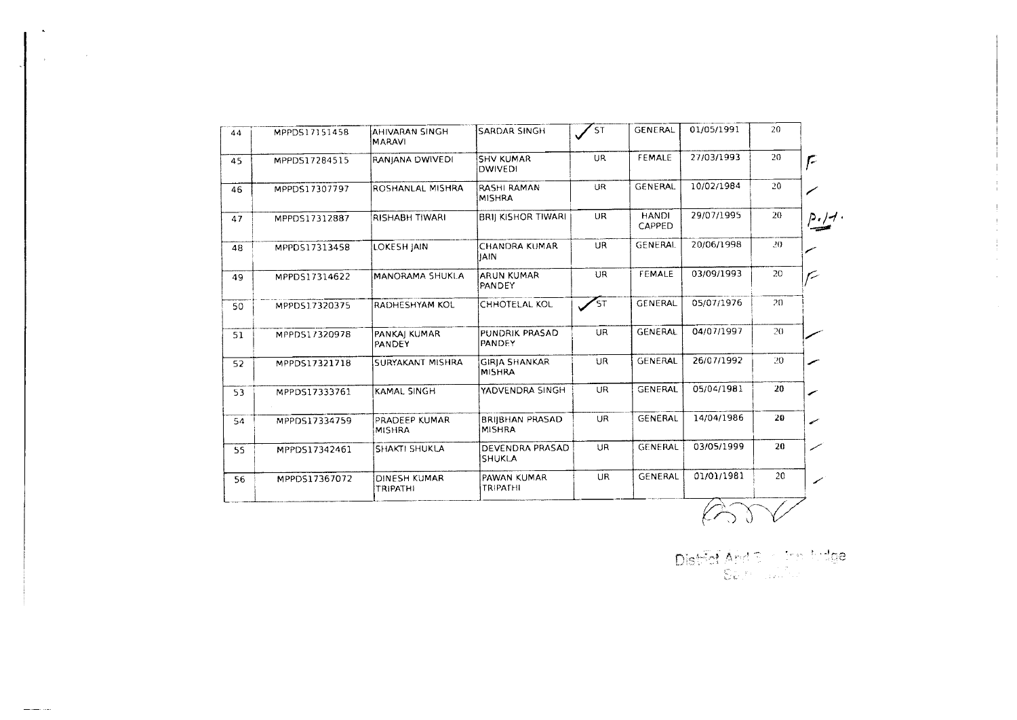| 44 | MPPD517151458 | <b>AHIVARAN SINGH</b><br><b>MARAVI</b> | <b>SARDAR SINGH</b>                     | ST.                    | <b>GENERAL</b>         | 01/05/1991 | 20 |
|----|---------------|----------------------------------------|-----------------------------------------|------------------------|------------------------|------------|----|
| 45 | MPPDS17284515 | RANJANA DWIVEDI                        | <b>SHV KUMAR</b><br><b>DWIVEDI</b>      | <b>UR</b>              | <b>FEMALE</b>          | 27/03/1993 | 20 |
| 46 | MPPDS17307797 | <b>ROSHANLAL MISHRA</b>                | <b>RASHI RAMAN</b><br><b>MISHRA</b>     | UR.                    | <b>GENERAL</b>         | 10/02/1984 | 20 |
| 47 | MPPDS17312887 | <b>RISHABH TIWARI</b>                  | <b>BRIJ KISHOR TIWARI</b>               | <b>UR</b>              | <b>HANDI</b><br>CAPPED | 29/07/1995 | 20 |
| 48 | MPPDS17313458 | LOKESH JAIN                            | <b>CHANDRA KUMAR</b><br><b>JAIN</b>     | <b>UR</b>              | <b>GENERAL</b>         | 20/06/1998 | 20 |
| 49 | MPPDS17314622 | IMANORAMA SHUKLA                       | <b>ARUN KUMAR</b><br>PANDEY             | <b>UR</b>              | FEMALE                 | 03/09/1993 | 20 |
| 50 | MPPDS17320375 | RADHESHYAM KOL                         | <b>CHHOTELAL KOL</b>                    | $\mathsf{S}\mathsf{T}$ | <b>GENERAL</b>         | 05/07/1976 | 20 |
| 51 | MPPD517320978 | PANKAJ KUMAR<br>PANDEY                 | PUNDRIK PRASAD<br>PANDEY                | <b>UR</b>              | <b>GENERAL</b>         | 04/07/1997 | 20 |
| 52 | MPPD517321718 | SURYAKANT MISHRA                       | <b>GIRIA SHANKAR</b><br><b>MISHRA</b>   | UR                     | <b>GENERAL</b>         | 26/07/1992 | 20 |
| 53 | MPPDS17333761 | KAMAL SINGH                            | YADVENDRA SINGH                         | UR.                    | <b>GENERAL</b>         | 05/04/1981 | 20 |
| 54 | MPPD517334759 | PRADEEP KUMAR<br><b>MISHRA</b>         | <b>BRIJBHAN PRASAD</b><br><b>MISHRA</b> | <b>UR</b>              | <b>GENERAL</b>         | 14/04/1986 | 20 |
| 55 | MPPD517342461 | <b>SHAKTI SHUKLA</b>                   | DEVENDRA PRASAD<br><b>SHUKLA</b>        | UR.                    | <b>GENERAL</b>         | 03/05/1999 | 20 |
| 56 | MPPD517367072 | <b>DINESH KUMAR</b><br>TRIPATHI        | PAWAN KUMAR<br><b>TRIPATHI</b>          | <b>UR</b>              | GENERAL                | 01/01/1981 | 20 |

 $\mathbf{A}^{\prime}$ 

 $\sim 100$ 

 $\frac{\text{DistDef}[\text{And}\text{S}]\cap\text{End}[\text{Indge}]}{\text{Sect}[\text{Indge}]}$ 

 $\pm$ 

 $\alpha$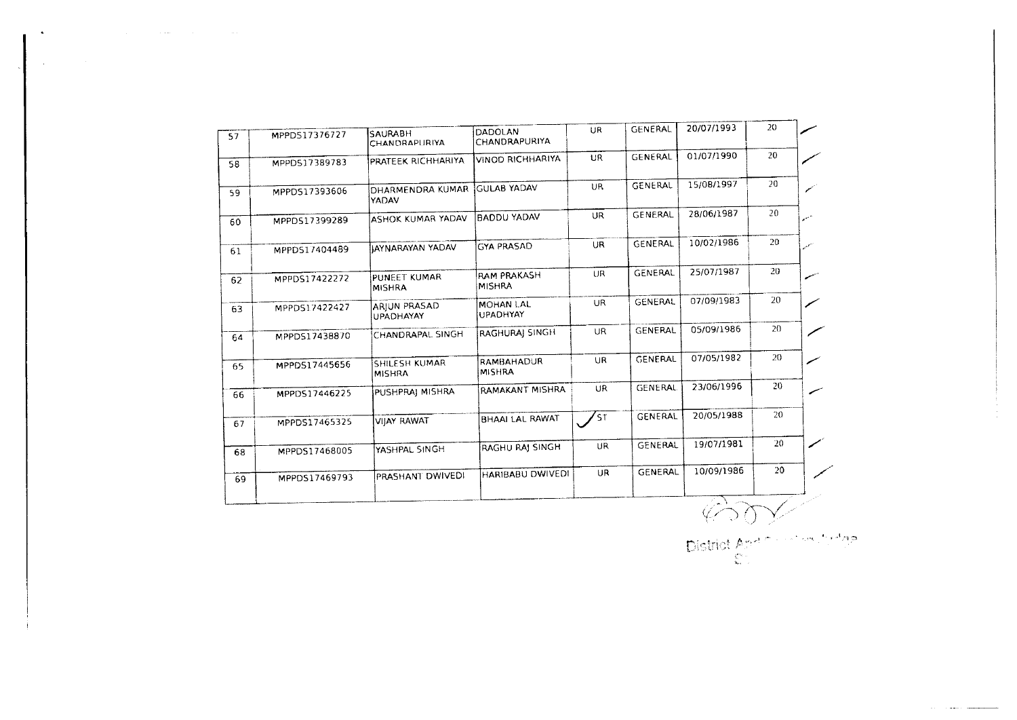| 57 | MPPD517376727 | <b>SAURABH</b><br><b>CHANDRAPURIYA</b>       | <b>DADOLAN</b><br>CHANDRAPURIYA | UR        | <b>GENERAL</b> | 20/07/1993 | 20 |      |
|----|---------------|----------------------------------------------|---------------------------------|-----------|----------------|------------|----|------|
| 58 | MPPD517389783 | PRATEEK RICHHARIYA                           | VINOD RICHHARIYA                | <b>UR</b> | GENERAL        | 01/07/1990 | 20 |      |
| 59 | MPPDS17393606 | DHARMENDRA KUMAR GULAB YADAV<br><b>YADAV</b> |                                 | UR.       | <b>GENERAL</b> | 15/08/1997 | 20 |      |
| 60 | MPPD517399289 | ASHOK KUMAR YADAV                            | <b>BADDU YADAV</b>              | <b>UR</b> | <b>GENERAL</b> | 28/06/1987 | 20 | مهمه |
| 61 | MPPD517404489 | IIAYNARAYAN YADAV                            | <b>GYA PRASAD</b>               | UR        | <b>GENERAL</b> | 10/02/1986 | 20 |      |
| 62 | MPPDS17422272 | PUNEET KUMAR<br><b>MISHRA</b>                | <b>RAM PRAKASH</b><br>MISHRA    | UR.       | <b>GENERAL</b> | 25/07/1987 | 20 |      |
| 63 | MPPDS17422427 | ARJUN PRASAD<br><b>UPADHAYAY</b>             | MOHAN LAL<br><b>UPADHYAY</b>    | <b>UR</b> | GENERAL        | 07/09/1983 | 20 |      |
| 64 | MPPD517438870 | CHANDRAPAL SINGH                             | <b>RAGHURAJ SINGH</b>           | UR.       | <b>GENERAL</b> | 05/09/1986 | 20 |      |
| 65 | MPPDS17445656 | <b>SHILESH KUMAR</b><br>MISHRA               | RAMBAHADUR<br>MISHRA            | <b>UR</b> | <b>GENERAL</b> | 07/05/1982 | 20 |      |
| 66 | MPPDS17446225 | PUSHPRAI MISHRA                              | RAMAKANT MISHRA                 | UR        | <b>GENERAL</b> | 23/06/1996 | 20 |      |
| 67 | MPPDS17465325 | VIIAY RAWAT                                  | BHAAI LAL RAWAT                 | 'st       | GENERAL        | 20/05/1988 | 20 |      |
| 68 | MPPDS17468005 | YASHPAL SINGH                                | RAGHU RAJ SINGH                 | UR        | GENERAL        | 19/07/1981 | 20 |      |
| 69 | MPPDS17469793 | PRASHANT DWIVED!                             | HARIBABU DWIVEDI                | UR        | <b>GENERAL</b> | 10/09/1986 | 20 |      |

 $\mathcal{L}^{\mathcal{L}}(t)$  and  $\mathcal{L}^{\mathcal{L}}(t)$  are the set of the following the set of the set of  $\mathcal{L}^{\mathcal{L}}(t)$ 

 $\mathbf{A}^{(n)}$ 

 $\label{eq:2.1} \frac{1}{\sqrt{2\pi}}\int_{0}^{\infty}\frac{1}{\sqrt{2\pi}}\left(\frac{1}{\sqrt{2\pi}}\right)^{2\pi}d\mu\,d\mu\,d\mu\,.$ 

District And Constantings -<br>Co

 $\sigma_{\rm{max}}$  , and a second constant  $\sigma_{\rm{max}}$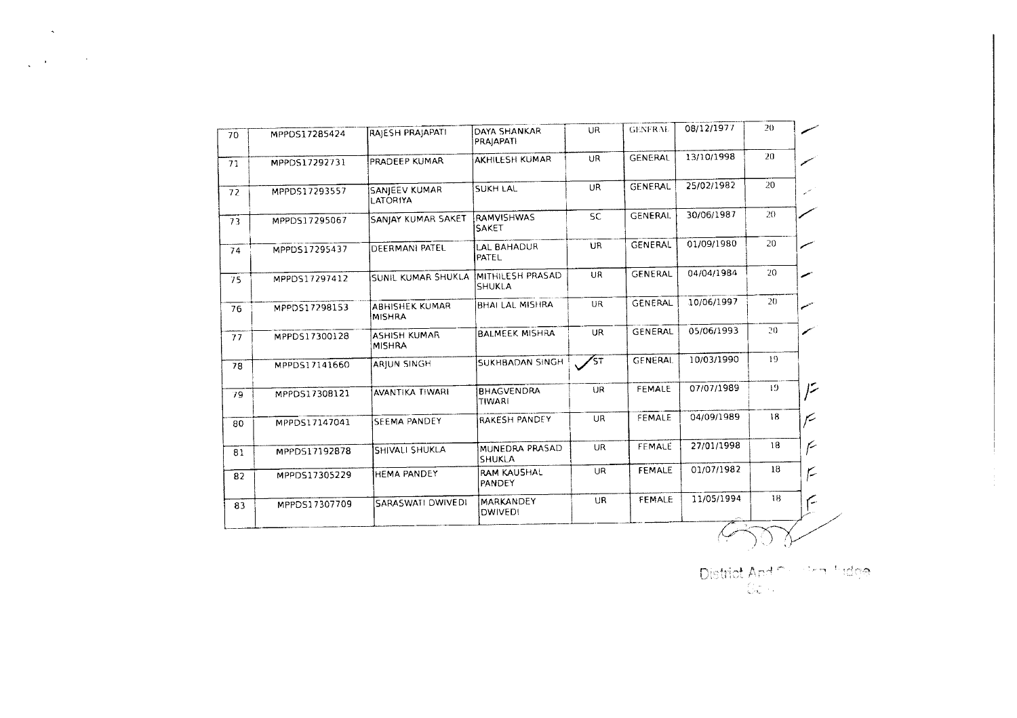| 70 | MPPD517285424 | RAJESH PRAJAPATI                     | DAYA SHANKAR<br>PRAJAPATI           | UR.          | <b>GENFRAL</b> | 08/12/1977 | 20 |      |
|----|---------------|--------------------------------------|-------------------------------------|--------------|----------------|------------|----|------|
| 71 | MPPDS17292731 | PRADEEP KUMAR                        | <b>AKHILESH KUMAR</b>               | UR           | <b>GENERAL</b> | 13/10/1998 | 20 |      |
| 72 | MPPDS17293557 | SANJEEV KUMAR<br>LATORIYA            | <b>SUKH LAL</b>                     | <b>UR</b>    | <b>GENERAL</b> | 25/02/1982 | 20 | سمو  |
| 73 | MPPDS17295067 | SANIAY KUMAR SAKET                   | RAMVISHWAS<br><b>SAKET</b>          | SC.          | <b>GENERAL</b> | 30/06/1987 | 20 |      |
| 74 | MPPDS17295437 | DEERMANI PATEL                       | <b>LAL BAHADUR</b><br>PATEL         | <b>UR</b>    | <b>GENERAL</b> | 01/09/1980 | 20 |      |
| 75 | MPPDS17297412 | SUNIL KUMAR SHUKLA                   | MITHILESH PRASAD<br>SHUKLA          | <b>UR</b>    | <b>GENERAL</b> | 04/04/1984 | 20 |      |
| 76 | MPPDS17298153 | <b>ABHISHEK KUMAR</b><br>MISHRA      | <b>BHAI LAL MISHRA</b>              | UR           | <b>GENERAL</b> | 10/06/1997 | 20 |      |
| 77 | MPPDS17300128 | <b>ASHISH KUMAR</b><br><b>MISHRA</b> | <b>BALMEEK MISHRA</b>               | <b>UR</b>    | <b>GENERAL</b> | 05/06/1993 | 20 |      |
| 78 | MPPDS17141660 | ARIUN SINGH                          | SUKHBADAN SINGH                     | $\sqrt{5}$ T | <b>GENERAL</b> | 10/03/1990 | 19 |      |
| 79 | MPPDS17308121 | <b>AVANTIKA TIWARI</b>               | <b>BHAGVENDRA</b><br>TIWARI         | UR           | FEMALE         | 07/07/1989 | 19 | تزا  |
| 80 | MPPDS17147041 | <b>SEEMA PANDEY</b>                  | RAKESH PANDEY                       | <b>UR</b>    | FEMALE         | 04/09/1989 | 18 | سيهم |
| 81 | MPPDS17192878 | SHIVALI SHUKLA                       | MUNEDRA PRASAD<br>SHUKLA            | <b>UR</b>    | <b>FEMALE</b>  | 27/01/1998 | 18 | سيم  |
| 82 | MPPDS17305229 | <b>HEMA PANDEY</b>                   | <b>RAM KAUSHAL</b><br><b>PANDEY</b> | <b>UR</b>    | <b>FEMALE</b>  | 01/07/1982 | 18 | r    |
| 83 | MPPDS17307709 | SARASWATI DWIVEDI                    | MARKANDEY<br><b>DWIVED!</b>         | <b>UR</b>    | <b>FEMALE</b>  | 11/05/1994 | 18 | r.   |

 $\mathcal{L}^{\text{max}}_{\text{max}}$  , where  $\mathcal{L}^{\text{max}}_{\text{max}}$ 

 $\frac{1}{\sqrt{2}}\left(\frac{1}{2}\left(\frac{1}{2}\right)^{2}+\frac{1}{2}\left(\frac{1}{2}\right)^{2}\right)\left(\frac{1}{2}\right)^{2}$ 

 $\begin{array}{ll} \text{Distriot And} \, \cap & \text{for } \, \text{trdeg} \\ \mathbb{S} \, \mathbb{C} \, \cap \end{array}$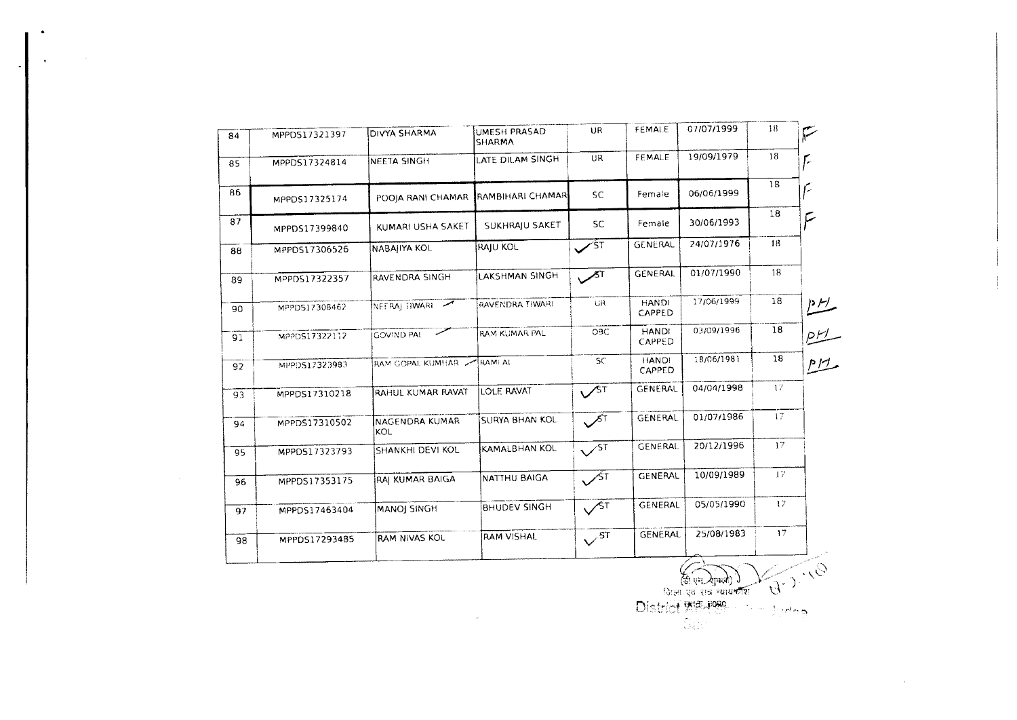| 84 | MPPDS17321397 | <b>IDIVYA SHARMA</b>    | UMESH PRASAD<br><b>SHARMA</b> | UR                               | <b>FEMALE</b>          | 07/07/1999 | -18<br>سيم        |
|----|---------------|-------------------------|-------------------------------|----------------------------------|------------------------|------------|-------------------|
| 85 | MPPDS17324814 | NEETA SINGH             | LATE DILAM SINGH              | <b>UR</b>                        | <b>FEMALE</b>          | 19/09/1979 | 18<br>يم          |
| 86 | MPPD517325174 | POOIA RANI CHAMAR       | RAMBIHARI CHAMAR              | <b>SC</b>                        | Female                 | 06/06/1999 | 18<br>سيم         |
| 87 | MPPDS17399840 | KUMARI USHA SAKET       | SUKHRAJU SAKET                | SC.                              | Female                 | 30/06/1993 | 18                |
| 88 | MPPDS17306526 | NABAJIYA KOL            | RAJU KOL                      | $\sqrt{51}$                      | <b>GENERAL</b>         | 24/07/1976 | 18                |
| 89 | MPPDS17322357 | RAVENDRA SINGH          | <b>LAKSHMAN SINGH</b>         | $\mathcal{S}^{\intercal}$        | <b>GENERAL</b>         | 01/07/1990 | 18                |
| 90 | MPPDS17308462 | NEERA) TIWARI           | <b>RAVENDRA TIWARI</b>        | UR                               | <b>HANDI</b><br>CAPPED | 17/06/1999 | 18                |
| 91 | MPPDS17322112 | <b>COVIND PAL</b>       | <b>RAM KUMAR PAL</b>          | OBC                              | <b>HANDI</b><br>CAPPED | 03/09/1996 | 18<br>$P_{\perp}$ |
| 92 | MPPDS17323983 | <b>RAM GOPAL KUMHAR</b> | RAMI AL                       | SC                               | <b>HANDI</b><br>CAPPED | 18/06/1981 | 18                |
| 93 | MPPD517310218 | RAHUL KUMAR RAVAT       | LOLE RAVAT                    | $V^{5\bar{T}}$                   | GENERAL                | 04/04/1998 | 17                |
| 94 | MPPD517310502 | NAGENDRA KUMAR<br>KOL   | <b>SURYA BHAN KOL</b>         | $\mathcal{S}^{\dagger}$          | <b>GENERAL</b>         | 01/07/1986 | 17                |
| 95 | MPPDS17323793 | SHANKHI DEVI KOL        | <b>KAMALBHAN KOL</b>          | $\sqrt{\mathsf{s}^{\mathsf{T}}}$ | <b>GENERAL</b>         | 20/12/1996 | 17                |
| 96 | MPPDS17353175 | RAJ KUMAR BAIGA         | NATTHU BAIGA                  | $\sqrt{ST}$                      | <b>GENERAL</b>         | 10/09/1989 | 17                |
| 97 | MPPDS17463404 | MANOJ SINGH             | <b>BHUDEV SINGH</b>           | $\sqrt{5}$                       | GENERAL                | 05/05/1990 | 17                |
| 98 | MPPD517293485 | <b>RAM NIVAS KOL</b>    | <b>RAM VISHAL</b>             | $\sqrt{\frac{\mathrm{sT}}{}}$    | <b>GENERAL</b>         | 25/08/1983 | 17                |

 $\sim 10^{11}$ 

General Machine (S. 1990)

 $\sim 10^{-11}$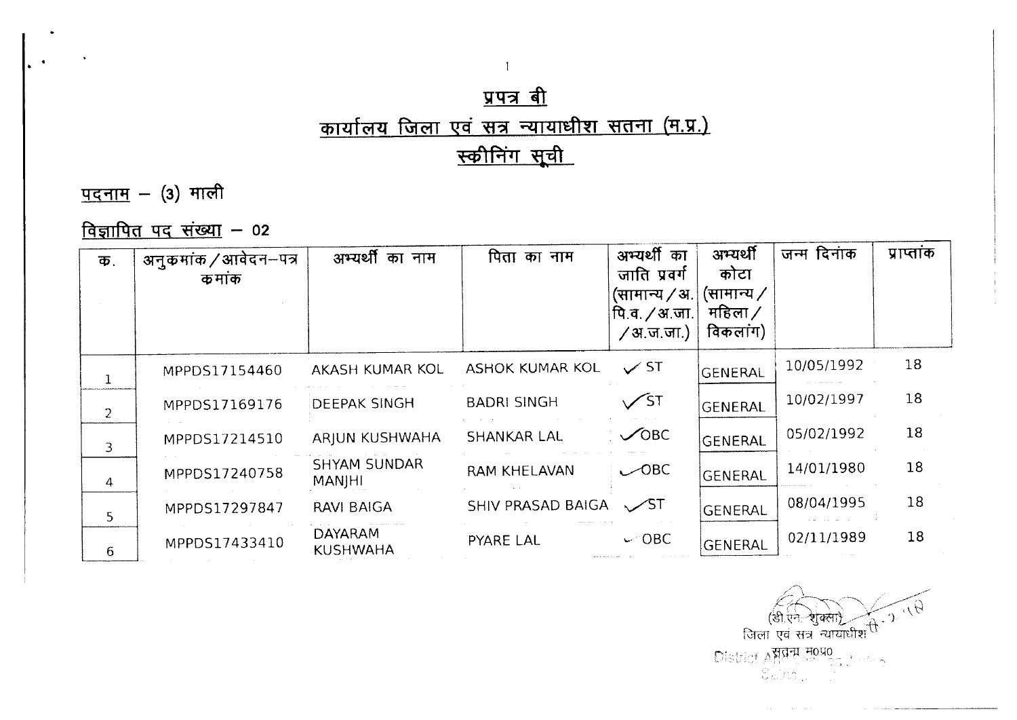## <u>प्रपत्र बी</u> कार्यालय जिला एवं सत्र न्यायाधीश सतना (म.प्र.) स्कीनिंग सूची

 $\mathbf{1}$ 

<u>पदनाम</u> – (3) माली

<u>विज्ञापित पद संख्या</u> – 02

| ず.             | अनुकमांक / आवेदन–पत्र<br>कमांक | अभ्यर्थी का नाम                      | पिता का नाम            | अम्यर्थी का<br>जाति प्रवर्ग<br>(सामान्य / अ.<br>पि.व. $\diagup$ अ.जा.<br>$/$ अ ज.जा.) | अम्यर्थी<br>कोटा<br>(सामान्य /<br>महिला $/$<br>विकलांग) | जन्म दिनाक | प्राप्तांक |
|----------------|--------------------------------|--------------------------------------|------------------------|---------------------------------------------------------------------------------------|---------------------------------------------------------|------------|------------|
| $\mathbf{1}$   | MPPDS17154460                  | AKASH KUMAR KOL                      | <b>ASHOK KUMAR KOL</b> | $\vee$ ST                                                                             | <b>GENERAL</b>                                          | 10/05/1992 | 18         |
| $\overline{2}$ | MPPDS17169176                  | <b>DEEPAK SINGH</b>                  | <b>BADRI SINGH</b>     | $\sqrt{ST}$                                                                           | <b>GENERAL</b>                                          | 10/02/1997 | 18         |
| 3              | MPPDS17214510                  | ARIUN KUSHWAHA                       | <b>SHANKAR LAL</b>     | $\sqrt{OBC}$                                                                          | <b>GENERAL</b>                                          | 05/02/1992 | 18         |
| 4              | MPPDS17240758                  | <b>SHYAM SUNDAR</b><br><b>MANJHI</b> | <b>RAM KHELAVAN</b>    | $\bigcirc$ OBC                                                                        | <b>GENERAL</b>                                          | 14/01/1980 | 18         |
| $\mathbb{S}$   | MPPDS17297847                  | <b>RAVI BAIGA</b>                    | SHIV PRASAD BAIGA      | $\sqrt{ST}$                                                                           | <b>GENERAL</b>                                          | 08/04/1995 | 18         |
| 6              | MPPDS17433410                  | <b>DAYARAM</b><br><b>KUSHWAHA</b>    | <b>PYARE LAL</b>       | $\sim$ OBC                                                                            | <b>GENERAL</b>                                          | 02/11/1989 | 18         |

(डी.एन. शुक्ला)<br>जिला एवं सत्र न्यायाधीश District ARREL HOUO  $\mathbb{C}$  in  $\mathbb{C}$  ,  $\mathbb{C}$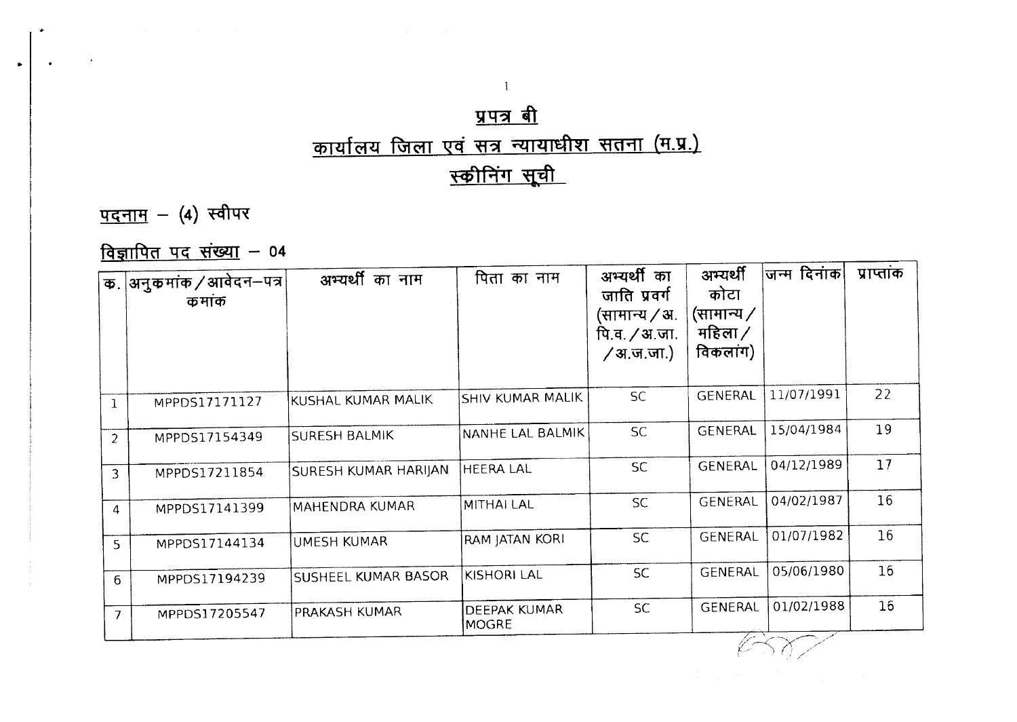# <u>प्रपत्र बी</u> कार्यालय जिला एवं सत्र न्यायाधीश सतना (म.प्र.) <u>स्कीनिंग सूची</u>

 $\mathbf{1}$ 

<u>पदनाम</u> – (4) स्वीपर

 $\bullet$ 

<u>विज्ञापित पद संख्या</u> – 04

|                | क.  अनुकमांक / आवेदन $-$ पत्र <br>क मांक | अभ्यर्थी का नाम            | पिता का नाम             | अभ्यर्थी का<br>जाति प्रवर्ग<br>(सामान्य / अ.)<br>पि.व. <i>/</i> अ.जा.<br>$/$ अ.ज.जा.) | अभ्यर्थी<br>कोटा<br>(सामान्य /<br>महिला $/$<br>विकलांग) | जन्म दिनांक | प्राप्ताक |
|----------------|------------------------------------------|----------------------------|-------------------------|---------------------------------------------------------------------------------------|---------------------------------------------------------|-------------|-----------|
| $\mathbf{1}$   | MPPDS17171127                            | KUSHAL KUMAR MALIK         | <b>SHIV KUMAR MALIK</b> | SC.                                                                                   | <b>GENERAL</b>                                          | 11/07/1991  | 22        |
| 2              | MPPDS17154349                            | <b>SURESH BALMIK</b>       | NANHE LAL BALMIK        | <b>SC</b>                                                                             | <b>GENERAL</b>                                          | 15/04/1984  | 19        |
| 3              | MPPDS17211854                            | SURESH KUMAR HARIJAN       | <b>HEERA LAL</b>        | <b>SC</b>                                                                             | <b>GENERAL</b>                                          | 04/12/1989  | 17        |
| 4              | MPPDS17141399                            | MAHENDRA KUMAR             | <b>MITHAI LAL</b>       | SC.                                                                                   | <b>GENERAL</b>                                          | 04/02/1987  | 16        |
| 5              | MPPDS17144134                            | <b>UMESH KUMAR</b>         | <b>RAM JATAN KORI</b>   | <b>SC</b>                                                                             | <b>GENERAL</b>                                          | 01/07/1982  | 16        |
| 6              | MPPDS17194239                            | <b>SUSHEEL KUMAR BASOR</b> | <b>KISHORI LAL</b>      | SC                                                                                    | <b>GENERAL</b>                                          | 05/06/1980  | 16        |
| $\overline{7}$ | MPPDS17205547                            | PRAKASH KUMAR              | DEEPAK KUMAR<br>MOGRE   | SC.                                                                                   | <b>GENERAL</b>                                          | 01/02/1988  | 16        |
|                |                                          |                            |                         |                                                                                       |                                                         |             |           |